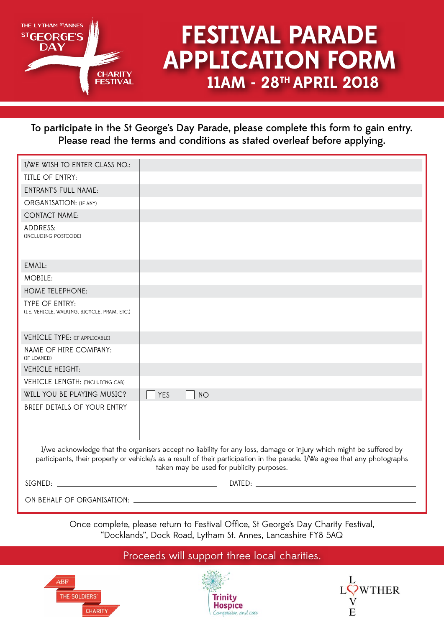

# **11AM - 28TH APRIL 2018 FESTIVAL PARADE APPLICATION FORM**

To participate in the St George's Day Parade, please complete this form to gain entry. Please read the terms and conditions as stated overleaf before applying.

| I/WE WISH TO ENTER CLASS NO.:                                                                                                                                                                                                                                                                  |                         |
|------------------------------------------------------------------------------------------------------------------------------------------------------------------------------------------------------------------------------------------------------------------------------------------------|-------------------------|
| TITLE OF ENTRY:                                                                                                                                                                                                                                                                                |                         |
| <b>ENTRANT'S FULL NAME:</b>                                                                                                                                                                                                                                                                    |                         |
| ORGANISATION: (IF ANY)                                                                                                                                                                                                                                                                         |                         |
| <b>CONTACT NAME:</b>                                                                                                                                                                                                                                                                           |                         |
| ADDRESS:<br>(INCLUDING POSTCODE)                                                                                                                                                                                                                                                               |                         |
| EMAIL:                                                                                                                                                                                                                                                                                         |                         |
| MOBILE:                                                                                                                                                                                                                                                                                        |                         |
| <b>HOME TELEPHONE:</b>                                                                                                                                                                                                                                                                         |                         |
| <b>TYPE OF ENTRY:</b><br>(I.E. VEHICLE, WALKING, BICYCLE, PRAM, ETC.)                                                                                                                                                                                                                          |                         |
| <b>VEHICLE TYPE: (IF APPLICABLE)</b>                                                                                                                                                                                                                                                           |                         |
| NAME OF HIRE COMPANY:<br>(IF LOANED)                                                                                                                                                                                                                                                           |                         |
| <b>VEHICLE HEIGHT:</b>                                                                                                                                                                                                                                                                         |                         |
| <b>VEHICLE LENGTH: (INCLUDING CAB)</b>                                                                                                                                                                                                                                                         |                         |
| WILL YOU BE PLAYING MUSIC?                                                                                                                                                                                                                                                                     | <b>YES</b><br><b>NO</b> |
| <b>BRIEF DETAILS OF YOUR ENTRY</b>                                                                                                                                                                                                                                                             |                         |
| I/we acknowledge that the organisers accept no liability for any loss, damage or injury which might be suffered by<br>participants, their property or vehicle/s as a result of their participation in the parade. I/We agree that any photographs<br>taken may be used for publicity purposes. |                         |
|                                                                                                                                                                                                                                                                                                |                         |
|                                                                                                                                                                                                                                                                                                |                         |

Once complete, please return to Festival Office, St George's Day Charity Festival, "Docklands", Dock Road, Lytham St. Annes, Lancashire FY8 5AQ